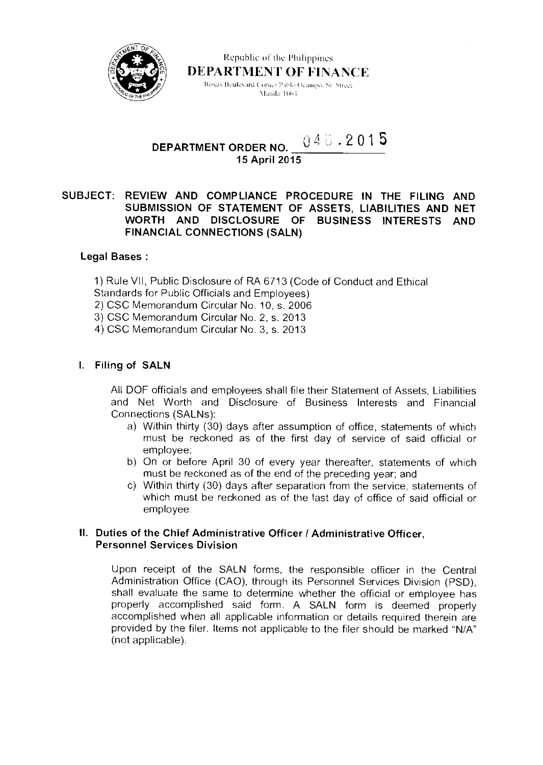

Republic of the Philippines DEPARTMENT OF FINANCE Roxas Boulevard Corner Pablo Ocampo, Sr. Street Vlanila 1004

#### **DEPARTMENT ORDER NO. 15 April 2015**   $046.2015$

# **SUBJECT: REVIEW AND COMPLIANCE PROCEDURE IN THE FILING AND SUBMISSION OF STATEMENT OF ASSETS, LIABILITIES AND NET WORTH AND DISCLOSURE OF BUSINESS INTERESTS AND FINANCIAL CONNECTIONS (SALN)**

## **Legal Bases :**

1) Rule VII, Public Disclosure of RA 6713 (Code of Conduct and Ethical

Standards for Public Officials and Employees)

2) CSC Memorandum Circular No. 10, s. 2006

3) CSC Memorandum Circular No. 2, s. 2013

4) CSC Memorandum Circular No. 3, s. 2013

## **I. Filing of SALN**

All DOF officials and employees shall file their Statement of Assets, Liabilities and Net Worth and Disclosure of Business Interests and Financial Connections (SALNs):

- a) Within thirty (30) days after assumption of office, statements of which must be reckoned as of the first day of service of said official or employee;
- b) On or before April 30 of every year thereafter, statements of which must be reckoned as of the end of the preceding year; and
- c) Within thirty (30) days after separation from the service, statements of which must be reckoned as of the last day of office of said official or employee.

### **II. Duties of the Chief Administrative Officer / Administrative Officer, Personnel Services Division**

Upon receipt of the SALN forms, the responsible officer in the Central Administration Office (CAO), through its Personnel Services Division (PSD), shall evaluate the same to determine whether the official or employee has properly accomplished said form. A SALN form is deemed properly accomplished when all applicable information or details required therein are provided by the filer. Items not applicable to the filer should be marked "N/A" (not applicable).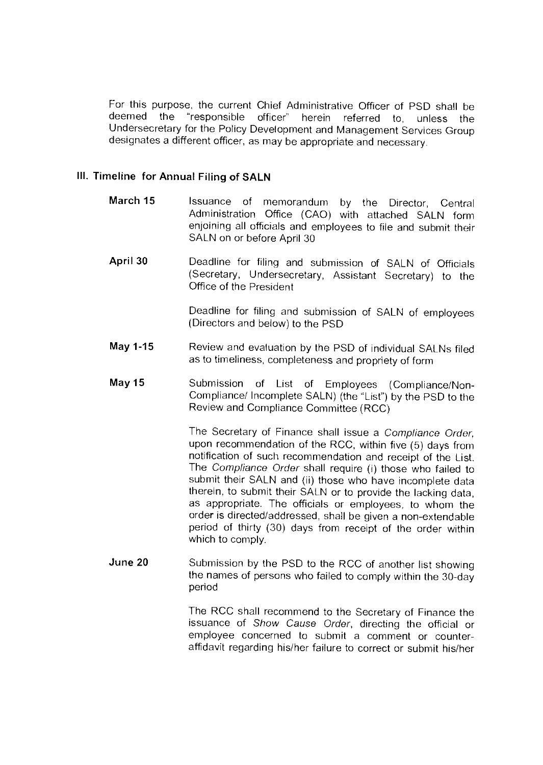For this purpose, the current Chief Administrative Officer of PSD shall be deemed the "responsible officer" herein referred to unless the "responsible officer" herein referred to, unless the Undersecretary for the Policy Development and Management Services Group designates a different officer, as may be appropriate and necessary.

### **Ill. Timeline for Annual Filing of SALN**

- **March 15** Issuance of memorandum by the Director, Central Administration Office (CAO) with attached SALN form enjoining all officials and employees to file and submit their SALN on or before April 30
- **April 30** Deadline for filing and submission of SALN of Officials (Secretary, Undersecretary, Assistant Secretary) to the Office of the President

Deadline for filing and submission of SALN of employees (Directors and below) to the PSD

- **May 1-15** Review and evaluation by the PSD of individual SALNs filed as to timeliness, completeness and propriety of form
- May 15 **Submission of List of Employees (Compliance/Non-**Compliance/ Incomplete SALN) (the "List") by the PSD to the Review and Compliance Committee (RCC)

The Secretary of Finance shall issue a Compliance Order, upon recommendation of the RCC, within five (5) days from notification of such recommendation and receipt of the List. The Compliance Order shall require (i) those who failed to submit their SALN and (ii) those who have incomplete data therein, to submit their SALN or to provide the lacking data, as appropriate. The officials or employees, to whom the order is directed/addressed, shall be given a non-extendable period of thirty (30) days from receipt of the order within which to comply.

**June 20** Submission by the PSD to the RCC of another list showing the names of persons who failed to comply within the 30-day period

> The RCC shall recommend to the Secretary of Finance the issuance of Show Cause Order, directing the official or employee concerned to submit a comment or counteraffidavit regarding his/her failure to correct or submit his/her